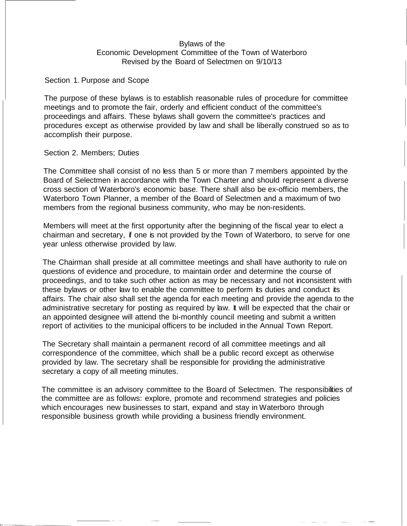# Bylaws of the Economic Development Committee of the Town of Waterboro Revised by the Board of Selectmen on 9/10/13

Section 1. Purpose and Scope

The purpose of these bylaws is to establish reasonable rules of procedure for committee meetings and to promote the fair, orderly and efficient conduct of the committee's proceedings and affairs. These bylaws shall govern the committee's practices and procedures except as otherwise provided by law and shall be liberally construed so as to accomplish their purpose.

#### Section 2. Members; Duties

The Committee shall consist of no less than 5 or more than 7 members appointed by the Board of Selectmen in accordance with the Town Charter and should represent a diverse cross section of Waterboro's economic base. There shall also be ex-officio members, the Waterboro Town Planner, a member of the Board of Selectmen and a maximum of two members from the regional business community, who may be non-residents.

Members will meet at the first opportunity after the beginning of the fiscal year to elect a chairman and secretary, if one is not provided by the Town of Waterboro, to serve for one year unless otherwise provided by law.

The Chairman shall preside at all committee meetings and shall have authority to rule on questions of evidence and procedure, to maintain order and determine the course of proceedings, and to take such other action as may be necessary and not inconsistent with these bylaws or other law to enable the committee to perform its duties and conduct its affairs. The chair also shall set the agenda for each meeting and provide the agenda to the administrative secretary for posting as required by law. It will be expected that the chair or an appointed designee will attend the bi-monthly council meeting and submit a written report of activities to the municipal officers to be included in the Annual Town Report.

The Secretary shall maintain a permanent record of all committee meetings and all correspondence of the committee, which shall be a public record except as otherwise provided by law. The secretary shall be responsible for providing the administrative secretary a copy of all meeting minutes.

The committee is an advisory committee to the Board of Selectmen. The responsibilities of the committee are as follows: explore, promote and recommend strategies and policies which encourages new businesses to start, expand and stay in Waterboro through responsible business growth while providing a business friendly environment.

.<br>• - - - - - - -

-···- --